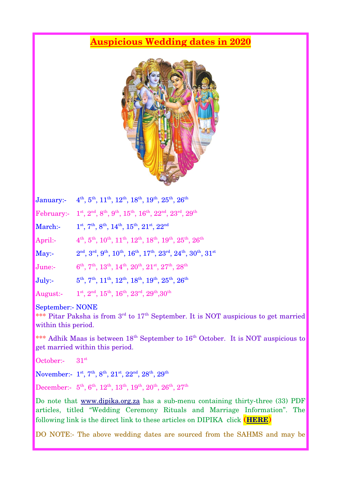## **Auspicious Wedding dates in 2020**



|                   | January: 4 <sup>th</sup> , 5 <sup>th</sup> , 11 <sup>th</sup> , 12 <sup>th</sup> , 18 <sup>th</sup> , 19 <sup>th</sup> , 25 <sup>th</sup> , 26 <sup>th</sup> |
|-------------------|--------------------------------------------------------------------------------------------------------------------------------------------------------------|
| <b>February:-</b> | $1^{\text{st}}, 2^{\text{nd}}, 8^{\text{th}}, 9^{\text{th}}, 15^{\text{th}}, 16^{\text{th}}, 22^{\text{nd}}, 23^{\text{rd}}, 29^{\text{th}}$                 |
| March:-           | $1^{\text{st}}, 7^{\text{th}}, 8^{\text{th}}, 14^{\text{th}}, 15^{\text{th}}, 21^{\text{st}}, 22^{\text{nd}}$                                                |
| April:-           | $4th$ , $5th$ , $10th$ , $11th$ , $12th$ , $18th$ , $19th$ , $25th$ , $26th$                                                                                 |
| May:              | $2nd$ , $3rd$ , $9th$ , $10th$ , $16th$ , $17th$ , $23rd$ , $24th$ , $30th$ , $31st$                                                                         |
| June:-            | $6^{\text{th}}$ , $7^{\text{th}}$ , $13^{\text{th}}$ , $14^{\text{th}}$ , $20^{\text{th}}$ , $21^{\text{st}}$ , $27^{\text{th}}$ , $28^{\text{th}}$          |
| $July: -$         | $5^{\text{th}}$ , $7^{\text{th}}$ , $11^{\text{th}}$ , $12^{\text{th}}$ , $18^{\text{th}}$ , $19^{\text{th}}$ , $25^{\text{th}}$ , $26^{\text{th}}$          |
| August:-          | $1^{\text{st}}, 2^{\text{nd}}, 15^{\text{th}}, 16^{\text{th}}, 23^{\text{rd}}, 29^{\text{th}}, 30^{\text{th}}$                                               |

September:- NONE

\*\*\* Pitar Paksha is from  $3<sup>rd</sup>$  to  $17<sup>th</sup>$  September. It is NOT auspicious to get married within this period.

\*\*\* Adhik Maas is between  $18<sup>th</sup>$  September to  $16<sup>th</sup>$  October. It is NOT auspicious to get married within this period.

October:- 31<sup>st</sup>

 $\rm November: \,\,\, 1^{st}, 7^{th}, 8^{th}, 21^{st}, 22^{nd}, 28^{th}, 29^{th}$ 

December:-  $\,5^{\rm th},\,6^{\rm th},\,12^{\rm th},\,13^{\rm th},\,19^{\rm th},\,20^{\rm th},\,26^{\rm th},\,27^{\rm th}$ 

Do note that [www.dipika.org.za](http://www.dipika.org.za/) has a sub-menu containing thirty-three (33) PDF articles, titled "Wedding Ceremony Rituals and Marriage Information". The following link is the direct link to these articles on DIPIKA click **([HERE](http://dipika.org.za/wedding-ceremony-rituals-marriage-info/))** 

DO NOTE:- The above wedding dates are sourced from the SAHMS and may be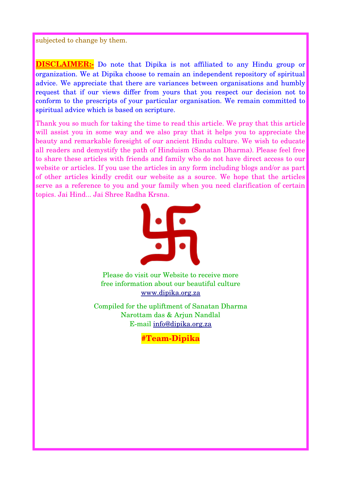subjected to change by them.

**DISCLAIMER:-** Do note that Dipika is not affiliated to any Hindu group or organization. We at Dipika choose to remain an independent repository of spiritual advice. We appreciate that there are variances between organisations and humbly request that if our views differ from yours that you respect our decision not to conform to the prescripts of your particular organisation. We remain committed to spiritual advice which is based on scripture.

Thank you so much for taking the time to read this article. We pray that this article will assist you in some way and we also pray that it helps you to appreciate the beauty and remarkable foresight of our ancient Hindu culture. We wish to educate all readers and demystify the path of Hinduism (Sanatan Dharma). Please feel free to share these articles with friends and family who do not have direct access to our website or articles. If you use the articles in any form including blogs and/or as part of other articles kindly credit our website as a source. We hope that the articles serve as a reference to you and your family when you need clarification of certain topics. Jai Hind... Jai Shree Radha Krsna.



Please do visit our Website to receive more free information about our beautiful culture [www.dipika.org.za](http://www.dipika.org.za/)

Compiled for the upliftment of Sanatan Dharma Narottam das & Arjun Nandlal E-mail [info@dipika.org.za](mailto:info@dipika.org.za)

**#Team-Dipika**